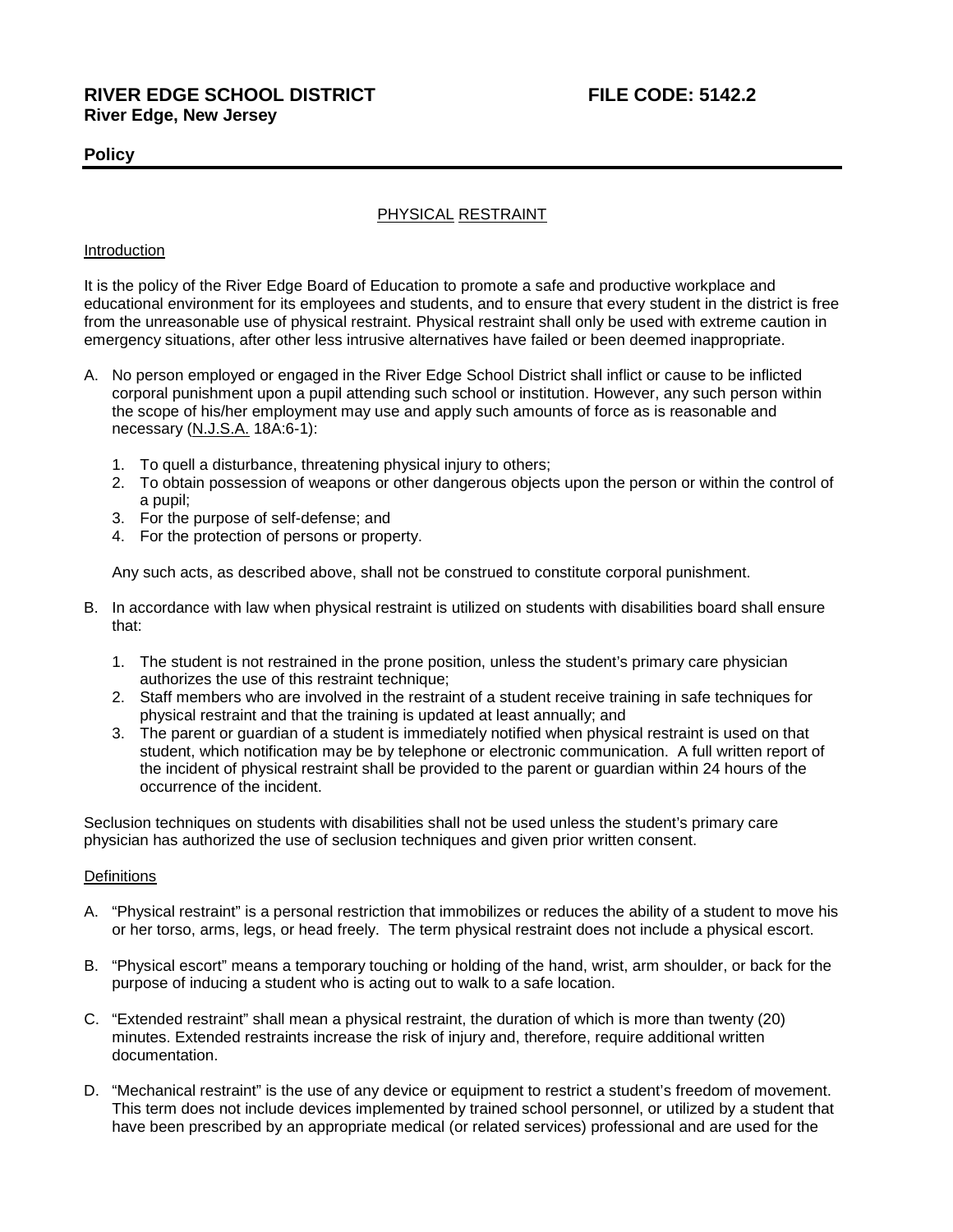# **Policy**

# PHYSICAL RESTRAINT

## Introduction

It is the policy of the River Edge Board of Education to promote a safe and productive workplace and educational environment for its employees and students, and to ensure that every student in the district is free from the unreasonable use of physical restraint. Physical restraint shall only be used with extreme caution in emergency situations, after other less intrusive alternatives have failed or been deemed inappropriate.

- A. No person employed or engaged in the River Edge School District shall inflict or cause to be inflicted corporal punishment upon a pupil attending such school or institution. However, any such person within the scope of his/her employment may use and apply such amounts of force as is reasonable and necessary (N.J.S.A. 18A:6-1):
	- 1. To quell a disturbance, threatening physical injury to others;
	- 2. To obtain possession of weapons or other dangerous objects upon the person or within the control of a pupil;
	- 3. For the purpose of self-defense; and
	- 4. For the protection of persons or property.

Any such acts, as described above, shall not be construed to constitute corporal punishment.

- B. In accordance with law when physical restraint is utilized on students with disabilities board shall ensure that:
	- 1. The student is not restrained in the prone position, unless the student's primary care physician authorizes the use of this restraint technique;
	- 2. Staff members who are involved in the restraint of a student receive training in safe techniques for physical restraint and that the training is updated at least annually; and
	- 3. The parent or guardian of a student is immediately notified when physical restraint is used on that student, which notification may be by telephone or electronic communication. A full written report of the incident of physical restraint shall be provided to the parent or guardian within 24 hours of the occurrence of the incident.

Seclusion techniques on students with disabilities shall not be used unless the student's primary care physician has authorized the use of seclusion techniques and given prior written consent.

## **Definitions**

- A. "Physical restraint" is a personal restriction that immobilizes or reduces the ability of a student to move his or her torso, arms, legs, or head freely. The term physical restraint does not include a physical escort.
- B. "Physical escort" means a temporary touching or holding of the hand, wrist, arm shoulder, or back for the purpose of inducing a student who is acting out to walk to a safe location.
- C. "Extended restraint" shall mean a physical restraint, the duration of which is more than twenty (20) minutes. Extended restraints increase the risk of injury and, therefore, require additional written documentation.
- D. "Mechanical restraint" is the use of any device or equipment to restrict a student's freedom of movement. This term does not include devices implemented by trained school personnel, or utilized by a student that have been prescribed by an appropriate medical (or related services) professional and are used for the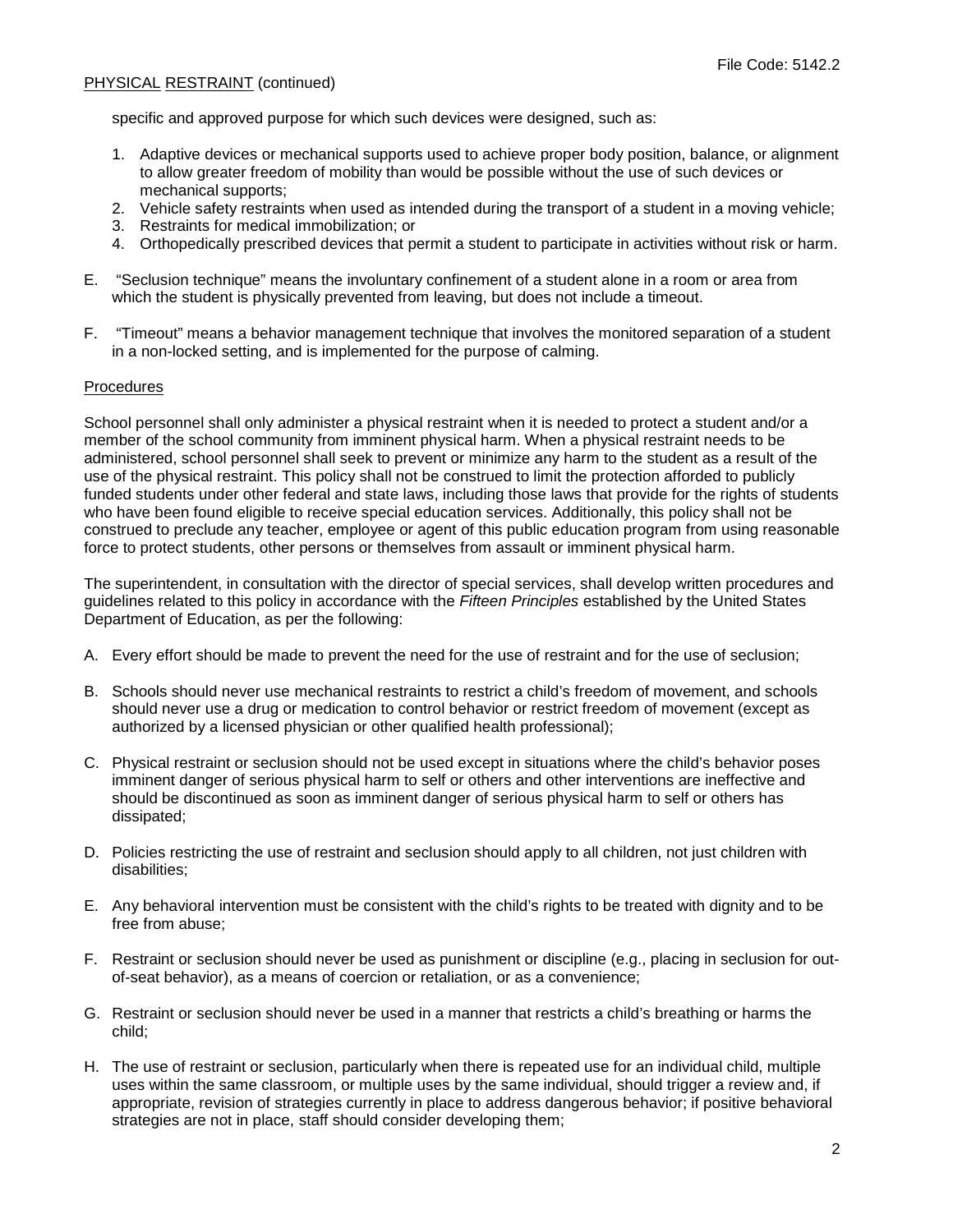specific and approved purpose for which such devices were designed, such as:

- 1. Adaptive devices or mechanical supports used to achieve proper body position, balance, or alignment to allow greater freedom of mobility than would be possible without the use of such devices or mechanical supports;
- 2. Vehicle safety restraints when used as intended during the transport of a student in a moving vehicle;
- 3. Restraints for medical immobilization; or
- 4. Orthopedically prescribed devices that permit a student to participate in activities without risk or harm.
- E. "Seclusion technique" means the involuntary confinement of a student alone in a room or area from which the student is physically prevented from leaving, but does not include a timeout.
- F. "Timeout" means a behavior management technique that involves the monitored separation of a student in a non-locked setting, and is implemented for the purpose of calming.

## **Procedures**

School personnel shall only administer a physical restraint when it is needed to protect a student and/or a member of the school community from imminent physical harm. When a physical restraint needs to be administered, school personnel shall seek to prevent or minimize any harm to the student as a result of the use of the physical restraint. This policy shall not be construed to limit the protection afforded to publicly funded students under other federal and state laws, including those laws that provide for the rights of students who have been found eligible to receive special education services. Additionally, this policy shall not be construed to preclude any teacher, employee or agent of this public education program from using reasonable force to protect students, other persons or themselves from assault or imminent physical harm.

The superintendent, in consultation with the director of special services, shall develop written procedures and guidelines related to this policy in accordance with the *Fifteen Principles* established by the United States Department of Education, as per the following:

- A. Every effort should be made to prevent the need for the use of restraint and for the use of seclusion;
- B. Schools should never use mechanical restraints to restrict a child's freedom of movement, and schools should never use a drug or medication to control behavior or restrict freedom of movement (except as authorized by a licensed physician or other qualified health professional);
- C. Physical restraint or seclusion should not be used except in situations where the child's behavior poses imminent danger of serious physical harm to self or others and other interventions are ineffective and should be discontinued as soon as imminent danger of serious physical harm to self or others has dissipated;
- D. Policies restricting the use of restraint and seclusion should apply to all children, not just children with disabilities;
- E. Any behavioral intervention must be consistent with the child's rights to be treated with dignity and to be free from abuse;
- F. Restraint or seclusion should never be used as punishment or discipline (e.g., placing in seclusion for outof-seat behavior), as a means of coercion or retaliation, or as a convenience;
- G. Restraint or seclusion should never be used in a manner that restricts a child's breathing or harms the child;
- H. The use of restraint or seclusion, particularly when there is repeated use for an individual child, multiple uses within the same classroom, or multiple uses by the same individual, should trigger a review and, if appropriate, revision of strategies currently in place to address dangerous behavior; if positive behavioral strategies are not in place, staff should consider developing them;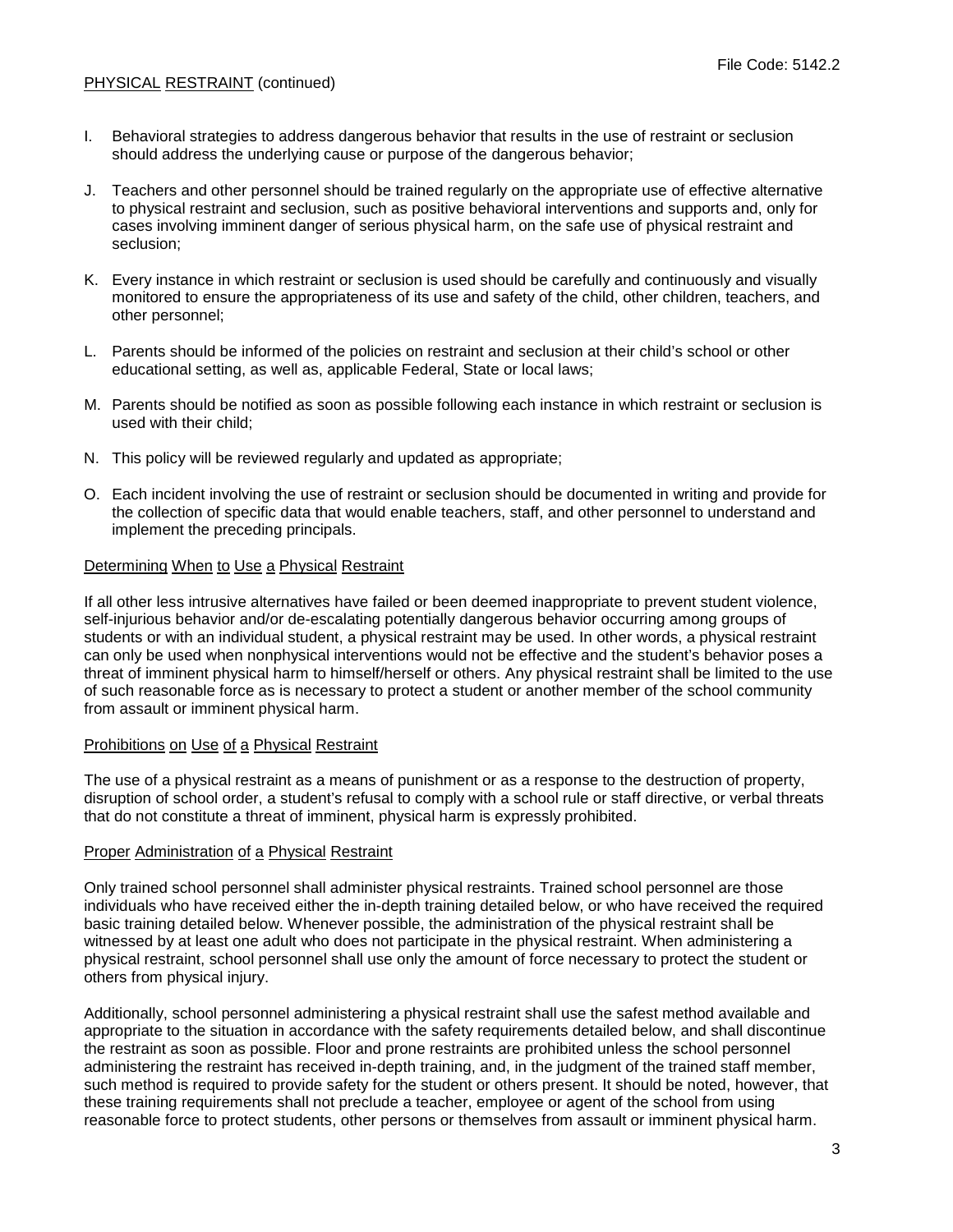- I. Behavioral strategies to address dangerous behavior that results in the use of restraint or seclusion should address the underlying cause or purpose of the dangerous behavior;
- J. Teachers and other personnel should be trained regularly on the appropriate use of effective alternative to physical restraint and seclusion, such as positive behavioral interventions and supports and, only for cases involving imminent danger of serious physical harm, on the safe use of physical restraint and seclusion;
- K. Every instance in which restraint or seclusion is used should be carefully and continuously and visually monitored to ensure the appropriateness of its use and safety of the child, other children, teachers, and other personnel;
- L. Parents should be informed of the policies on restraint and seclusion at their child's school or other educational setting, as well as, applicable Federal, State or local laws;
- M. Parents should be notified as soon as possible following each instance in which restraint or seclusion is used with their child;
- N. This policy will be reviewed regularly and updated as appropriate;
- O. Each incident involving the use of restraint or seclusion should be documented in writing and provide for the collection of specific data that would enable teachers, staff, and other personnel to understand and implement the preceding principals.

#### Determining When to Use a Physical Restraint

If all other less intrusive alternatives have failed or been deemed inappropriate to prevent student violence, self-injurious behavior and/or de-escalating potentially dangerous behavior occurring among groups of students or with an individual student, a physical restraint may be used. In other words, a physical restraint can only be used when nonphysical interventions would not be effective and the student's behavior poses a threat of imminent physical harm to himself/herself or others. Any physical restraint shall be limited to the use of such reasonable force as is necessary to protect a student or another member of the school community from assault or imminent physical harm.

## Prohibitions on Use of a Physical Restraint

The use of a physical restraint as a means of punishment or as a response to the destruction of property, disruption of school order, a student's refusal to comply with a school rule or staff directive, or verbal threats that do not constitute a threat of imminent, physical harm is expressly prohibited.

## Proper Administration of a Physical Restraint

Only trained school personnel shall administer physical restraints. Trained school personnel are those individuals who have received either the in-depth training detailed below, or who have received the required basic training detailed below. Whenever possible, the administration of the physical restraint shall be witnessed by at least one adult who does not participate in the physical restraint. When administering a physical restraint, school personnel shall use only the amount of force necessary to protect the student or others from physical injury.

Additionally, school personnel administering a physical restraint shall use the safest method available and appropriate to the situation in accordance with the safety requirements detailed below, and shall discontinue the restraint as soon as possible. Floor and prone restraints are prohibited unless the school personnel administering the restraint has received in-depth training, and, in the judgment of the trained staff member, such method is required to provide safety for the student or others present. It should be noted, however, that these training requirements shall not preclude a teacher, employee or agent of the school from using reasonable force to protect students, other persons or themselves from assault or imminent physical harm.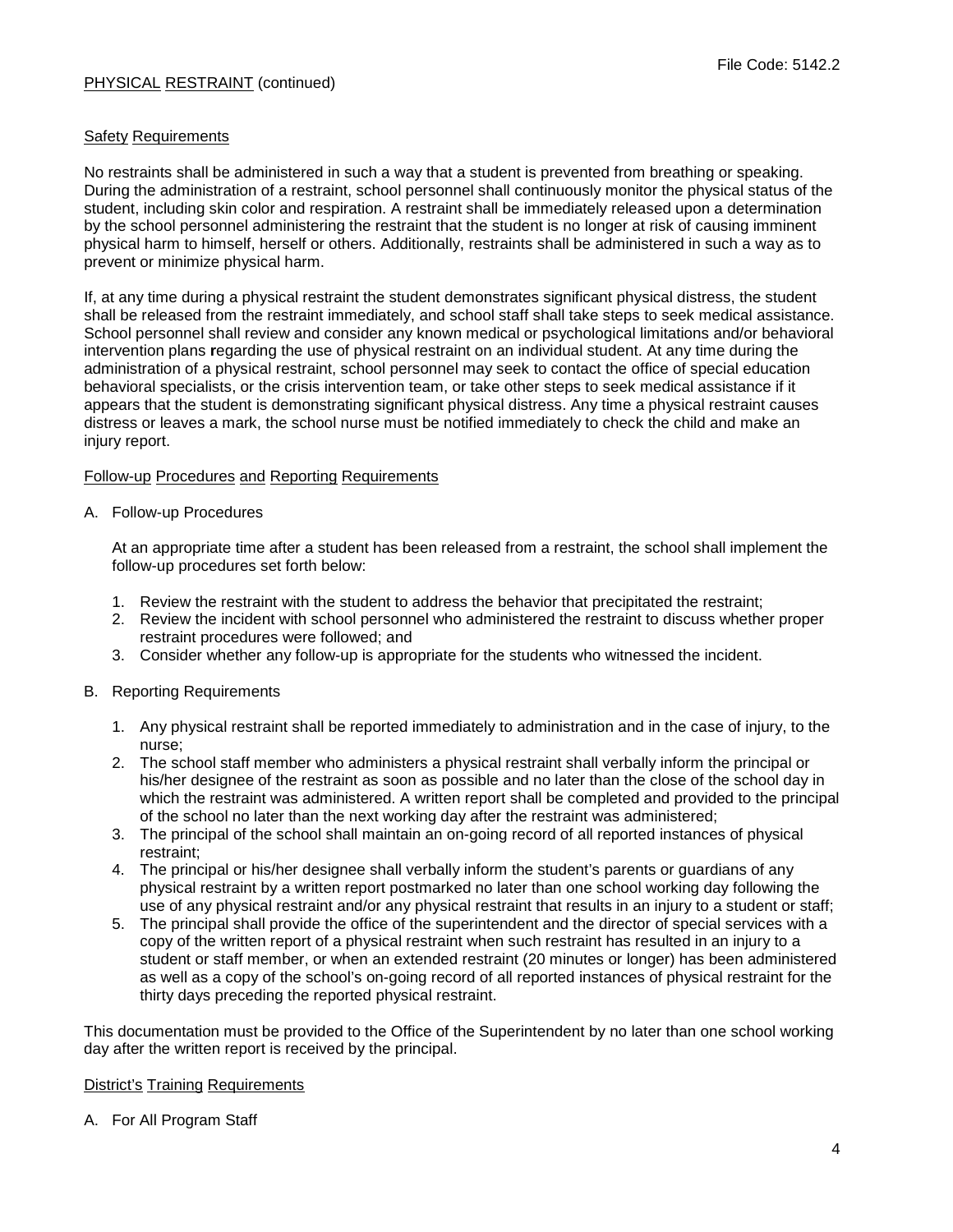## **Safety Requirements**

No restraints shall be administered in such a way that a student is prevented from breathing or speaking. During the administration of a restraint, school personnel shall continuously monitor the physical status of the student, including skin color and respiration. A restraint shall be immediately released upon a determination by the school personnel administering the restraint that the student is no longer at risk of causing imminent physical harm to himself, herself or others. Additionally, restraints shall be administered in such a way as to prevent or minimize physical harm.

If, at any time during a physical restraint the student demonstrates significant physical distress, the student shall be released from the restraint immediately, and school staff shall take steps to seek medical assistance. School personnel shall review and consider any known medical or psychological limitations and/or behavioral intervention plans **r**egarding the use of physical restraint on an individual student. At any time during the administration of a physical restraint, school personnel may seek to contact the office of special education behavioral specialists, or the crisis intervention team, or take other steps to seek medical assistance if it appears that the student is demonstrating significant physical distress. Any time a physical restraint causes distress or leaves a mark, the school nurse must be notified immediately to check the child and make an injury report.

## Follow-up Procedures and Reporting Requirements

## A. Follow-up Procedures

At an appropriate time after a student has been released from a restraint, the school shall implement the follow-up procedures set forth below:

- 1. Review the restraint with the student to address the behavior that precipitated the restraint;
- 2. Review the incident with school personnel who administered the restraint to discuss whether proper restraint procedures were followed; and
- 3. Consider whether any follow-up is appropriate for the students who witnessed the incident.

# B. Reporting Requirements

- 1. Any physical restraint shall be reported immediately to administration and in the case of injury, to the nurse;
- 2. The school staff member who administers a physical restraint shall verbally inform the principal or his/her designee of the restraint as soon as possible and no later than the close of the school day in which the restraint was administered. A written report shall be completed and provided to the principal of the school no later than the next working day after the restraint was administered;
- 3. The principal of the school shall maintain an on-going record of all reported instances of physical restraint;
- 4. The principal or his/her designee shall verbally inform the student's parents or guardians of any physical restraint by a written report postmarked no later than one school working day following the use of any physical restraint and/or any physical restraint that results in an injury to a student or staff;
- 5. The principal shall provide the office of the superintendent and the director of special services with a copy of the written report of a physical restraint when such restraint has resulted in an injury to a student or staff member, or when an extended restraint (20 minutes or longer) has been administered as well as a copy of the school's on-going record of all reported instances of physical restraint for the thirty days preceding the reported physical restraint.

This documentation must be provided to the Office of the Superintendent by no later than one school working day after the written report is received by the principal.

# District's Training Requirements

A. For All Program Staff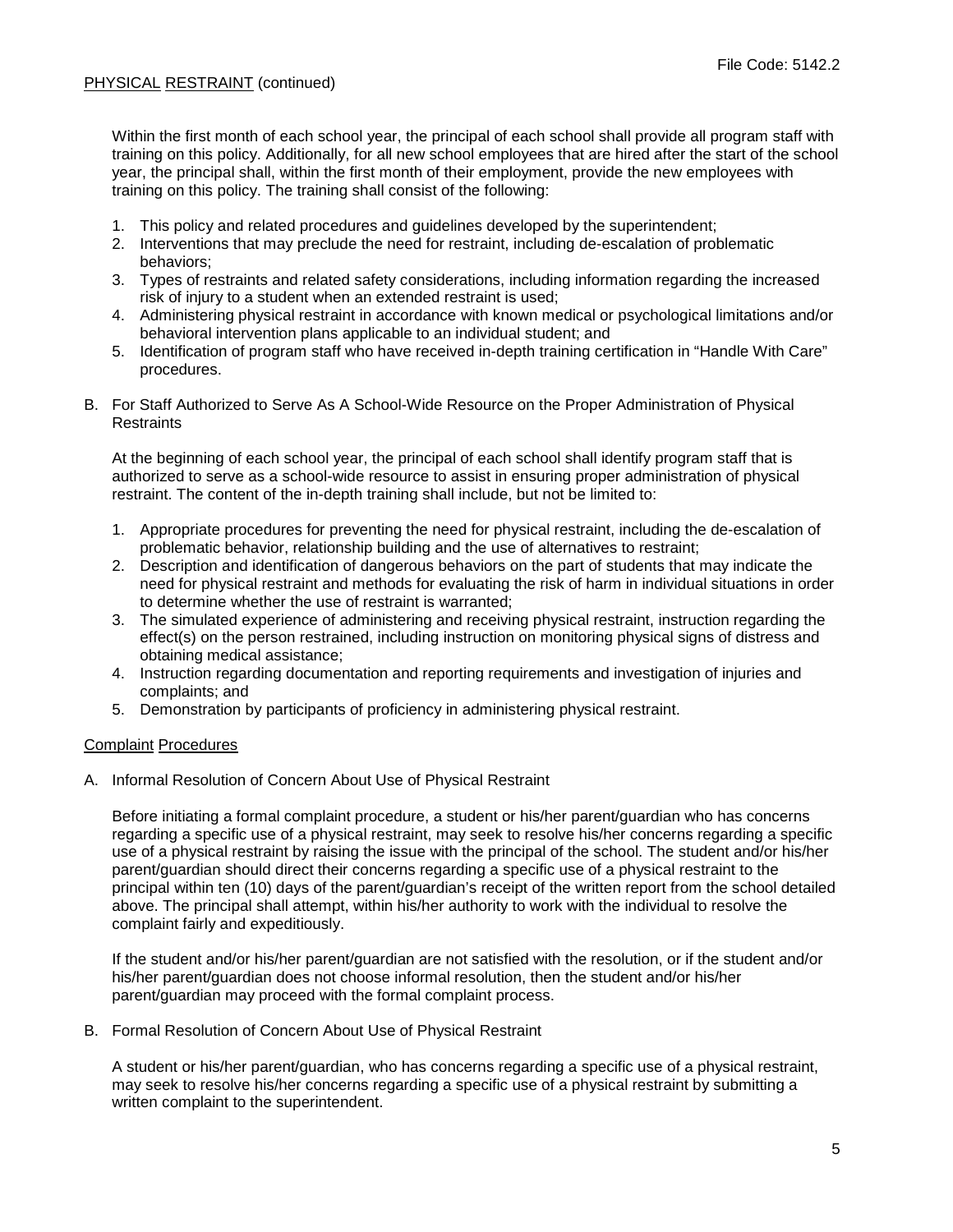Within the first month of each school year, the principal of each school shall provide all program staff with training on this policy. Additionally, for all new school employees that are hired after the start of the school year, the principal shall, within the first month of their employment, provide the new employees with training on this policy. The training shall consist of the following:

- 1. This policy and related procedures and guidelines developed by the superintendent;
- 2. Interventions that may preclude the need for restraint, including de-escalation of problematic behaviors;
- 3. Types of restraints and related safety considerations, including information regarding the increased risk of injury to a student when an extended restraint is used;
- 4. Administering physical restraint in accordance with known medical or psychological limitations and/or behavioral intervention plans applicable to an individual student; and
- 5. Identification of program staff who have received in-depth training certification in "Handle With Care" procedures.
- B. For Staff Authorized to Serve As A School-Wide Resource on the Proper Administration of Physical **Restraints**

At the beginning of each school year, the principal of each school shall identify program staff that is authorized to serve as a school-wide resource to assist in ensuring proper administration of physical restraint. The content of the in-depth training shall include, but not be limited to:

- 1. Appropriate procedures for preventing the need for physical restraint, including the de-escalation of problematic behavior, relationship building and the use of alternatives to restraint;
- 2. Description and identification of dangerous behaviors on the part of students that may indicate the need for physical restraint and methods for evaluating the risk of harm in individual situations in order to determine whether the use of restraint is warranted;
- 3. The simulated experience of administering and receiving physical restraint, instruction regarding the effect(s) on the person restrained, including instruction on monitoring physical signs of distress and obtaining medical assistance;
- 4. Instruction regarding documentation and reporting requirements and investigation of injuries and complaints; and
- 5. Demonstration by participants of proficiency in administering physical restraint.

# Complaint Procedures

A. Informal Resolution of Concern About Use of Physical Restraint

Before initiating a formal complaint procedure, a student or his/her parent/guardian who has concerns regarding a specific use of a physical restraint, may seek to resolve his/her concerns regarding a specific use of a physical restraint by raising the issue with the principal of the school. The student and/or his/her parent/guardian should direct their concerns regarding a specific use of a physical restraint to the principal within ten (10) days of the parent/guardian's receipt of the written report from the school detailed above. The principal shall attempt, within his/her authority to work with the individual to resolve the complaint fairly and expeditiously.

If the student and/or his/her parent/guardian are not satisfied with the resolution, or if the student and/or his/her parent/guardian does not choose informal resolution, then the student and/or his/her parent/guardian may proceed with the formal complaint process.

B. Formal Resolution of Concern About Use of Physical Restraint

A student or his/her parent/guardian, who has concerns regarding a specific use of a physical restraint, may seek to resolve his/her concerns regarding a specific use of a physical restraint by submitting a written complaint to the superintendent.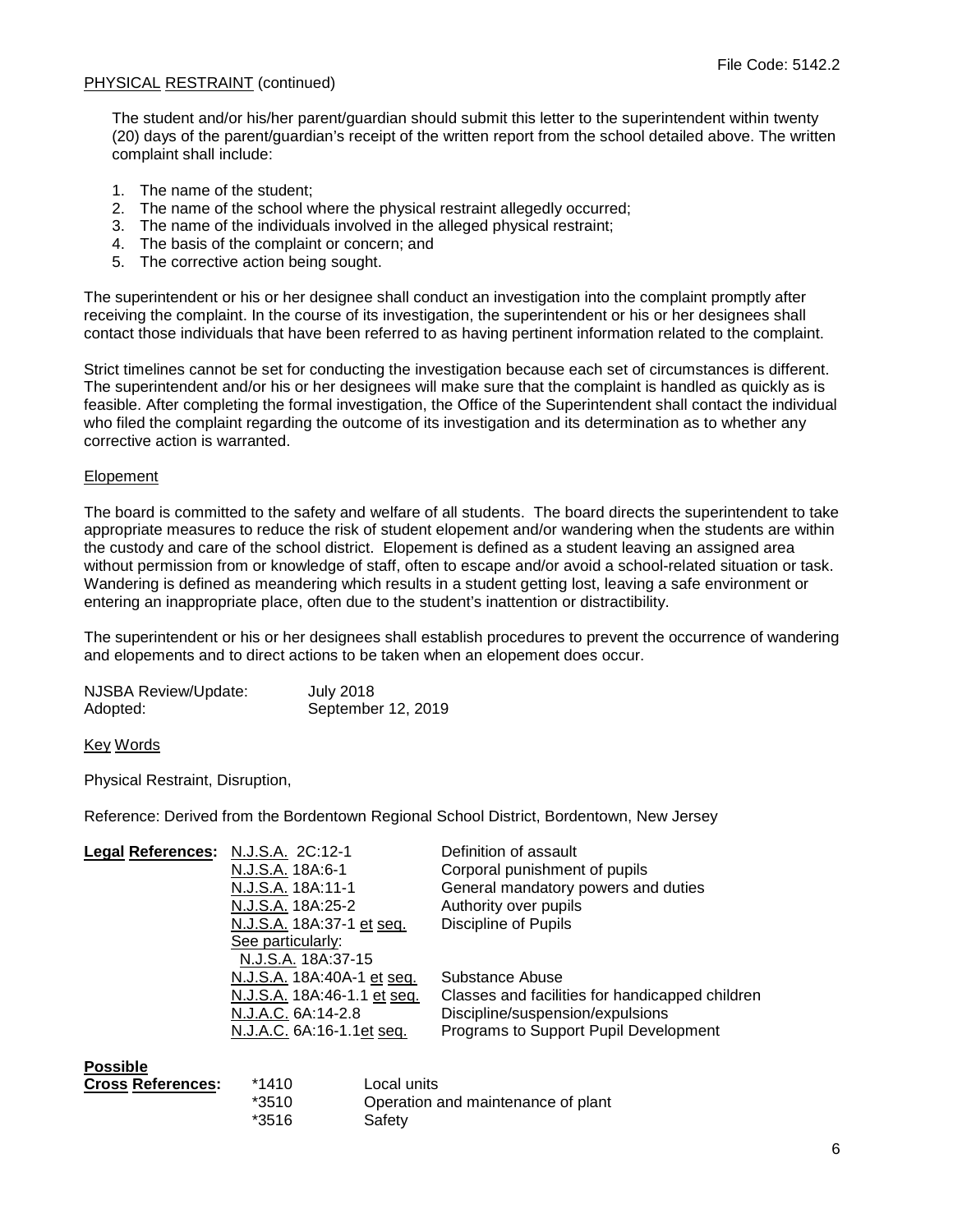The student and/or his/her parent/guardian should submit this letter to the superintendent within twenty (20) days of the parent/guardian's receipt of the written report from the school detailed above. The written complaint shall include:

- 1. The name of the student;
- 2. The name of the school where the physical restraint allegedly occurred;
- 3. The name of the individuals involved in the alleged physical restraint;
- 4. The basis of the complaint or concern; and
- 5. The corrective action being sought.

The superintendent or his or her designee shall conduct an investigation into the complaint promptly after receiving the complaint. In the course of its investigation, the superintendent or his or her designees shall contact those individuals that have been referred to as having pertinent information related to the complaint.

Strict timelines cannot be set for conducting the investigation because each set of circumstances is different. The superintendent and/or his or her designees will make sure that the complaint is handled as quickly as is feasible. After completing the formal investigation, the Office of the Superintendent shall contact the individual who filed the complaint regarding the outcome of its investigation and its determination as to whether any corrective action is warranted.

## Elopement

The board is committed to the safety and welfare of all students. The board directs the superintendent to take appropriate measures to reduce the risk of student elopement and/or wandering when the students are within the custody and care of the school district. Elopement is defined as a student leaving an assigned area without permission from or knowledge of staff, often to escape and/or avoid a school-related situation or task. Wandering is defined as meandering which results in a student getting lost, leaving a safe environment or entering an inappropriate place, often due to the student's inattention or distractibility.

The superintendent or his or her designees shall establish procedures to prevent the occurrence of wandering and elopements and to direct actions to be taken when an elopement does occur.

| <b>NJSBA Review/Update:</b> | <b>July 2018</b>   |
|-----------------------------|--------------------|
| Adopted:                    | September 12, 2019 |

Key Words

Physical Restraint, Disruption,

Reference: Derived from the Bordentown Regional School District, Bordentown, New Jersey

| <b>Legal References:</b> | N.J.S.A. 2C:12-1            | Definition of assault                           |
|--------------------------|-----------------------------|-------------------------------------------------|
|                          | N.J.S.A. 18A:6-1            | Corporal punishment of pupils                   |
|                          | N.J.S.A. 18A:11-1           | General mandatory powers and duties             |
|                          | N.J.S.A. 18A:25-2           | Authority over pupils                           |
|                          | N.J.S.A. 18A:37-1 et seq.   | Discipline of Pupils                            |
|                          | See particularly:           |                                                 |
|                          | N.J.S.A. 18A:37-15          |                                                 |
|                          | N.J.S.A. 18A:40A-1 et seq.  | Substance Abuse                                 |
|                          | N.J.S.A. 18A:46-1.1 et seq. | Classes and facilities for handicapped children |
|                          | N.J.A.C. 6A:14-2.8          | Discipline/suspension/expulsions                |
|                          | N.J.A.C. 6A:16-1.1et seq.   | Programs to Support Pupil Development           |
| Possible                 |                             |                                                 |

| Cross References: | *1410   | Local units                        |
|-------------------|---------|------------------------------------|
|                   | $*3510$ | Operation and maintenance of plant |
|                   | *3516   | Safety                             |